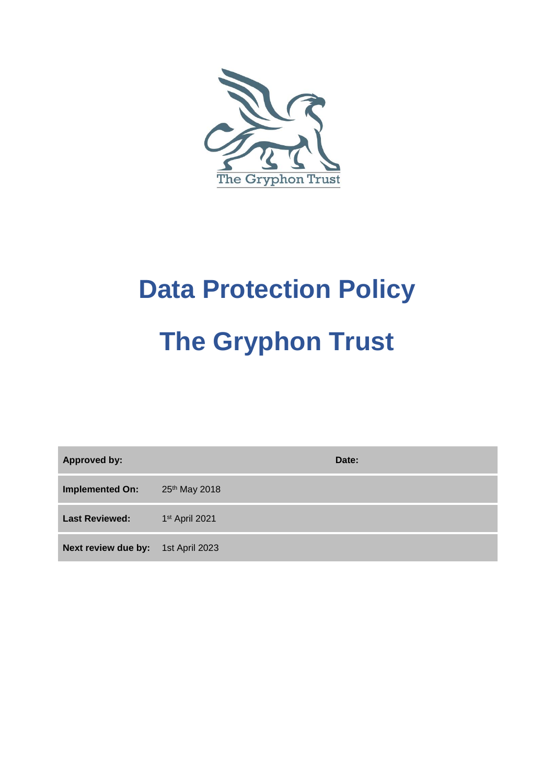

# **Data Protection Policy The Gryphon Trust**

**Approved by: Date:**

**Implemented On:** 25<sup>th</sup> May 2018

**Last Reviewed:** 1st April 2021

**Next review due by:** 1st April 2023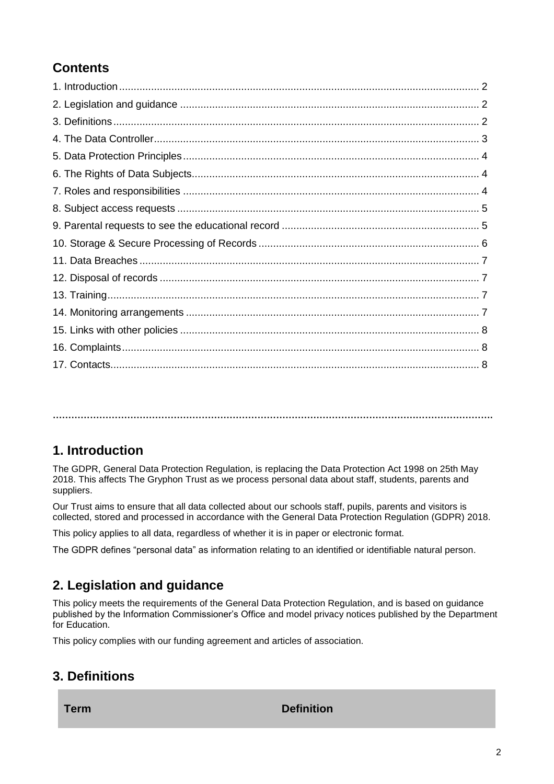## **Contents**

**…………………………………………………………………………………………………………………………….**

#### **1. Introduction**

The GDPR, General Data Protection Regulation, is replacing the Data Protection Act 1998 on 25th May 2018. This affects The Gryphon Trust as we process personal data about staff, students, parents and suppliers.

Our Trust aims to ensure that all data collected about our schools staff, pupils, parents and visitors is collected, stored and processed in accordance with the General Data Protection Regulation (GDPR) 2018.

This policy applies to all data, regardless of whether it is in paper or electronic format.

The GDPR defines "personal data" as information relating to an identified or identifiable natural person.

#### **2. Legislation and guidance**

This policy meets the requirements of the General Data Protection Regulation, and is based on guidance published by the Information Commissioner's Office and model privacy notices published by the Department for Education.

This policy complies with our funding agreement and articles of association.

#### **3. Definitions**

#### **Term Definition**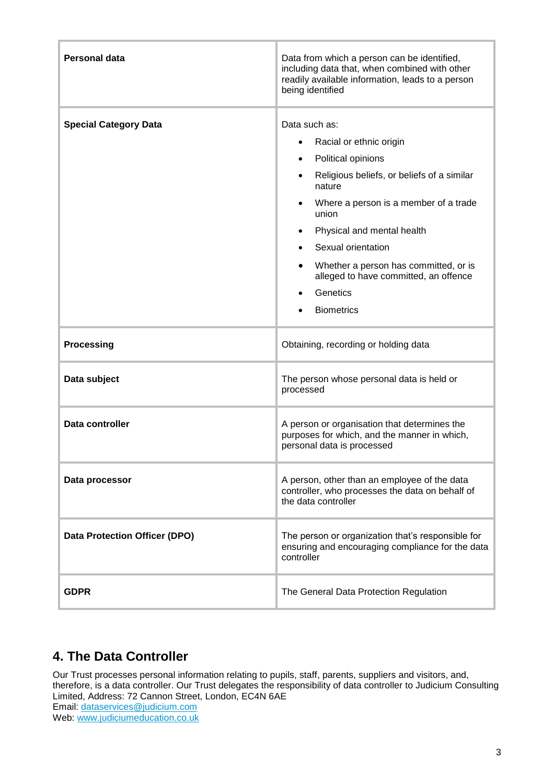| <b>Personal data</b>                 | Data from which a person can be identified,<br>including data that, when combined with other<br>readily available information, leads to a person<br>being identified                                                                                                                                                                            |
|--------------------------------------|-------------------------------------------------------------------------------------------------------------------------------------------------------------------------------------------------------------------------------------------------------------------------------------------------------------------------------------------------|
| <b>Special Category Data</b>         | Data such as:<br>Racial or ethnic origin<br>Political opinions<br>Religious beliefs, or beliefs of a similar<br>nature<br>Where a person is a member of a trade<br>union<br>Physical and mental health<br>Sexual orientation<br>Whether a person has committed, or is<br>alleged to have committed, an offence<br>Genetics<br><b>Biometrics</b> |
| <b>Processing</b>                    | Obtaining, recording or holding data                                                                                                                                                                                                                                                                                                            |
| Data subject                         | The person whose personal data is held or<br>processed                                                                                                                                                                                                                                                                                          |
| Data controller                      | A person or organisation that determines the<br>purposes for which, and the manner in which,<br>personal data is processed                                                                                                                                                                                                                      |
| Data processor                       | A person, other than an employee of the data<br>controller, who processes the data on behalf of<br>the data controller                                                                                                                                                                                                                          |
| <b>Data Protection Officer (DPO)</b> | The person or organization that's responsible for<br>ensuring and encouraging compliance for the data<br>controller                                                                                                                                                                                                                             |
| <b>GDPR</b>                          | The General Data Protection Regulation                                                                                                                                                                                                                                                                                                          |

## **4. The Data Controller**

Our Trust processes personal information relating to pupils, staff, parents, suppliers and visitors, and, therefore, is a data controller. Our Trust delegates the responsibility of data controller to Judicium Consulting Limited, Address: 72 Cannon Street, London, EC4N 6AE Email: [dataservices@judicium.com](mailto:dataservices@judicium.com) Web: [www.judiciumeducation.co.uk](http://www.judiciumeducation.co.uk/)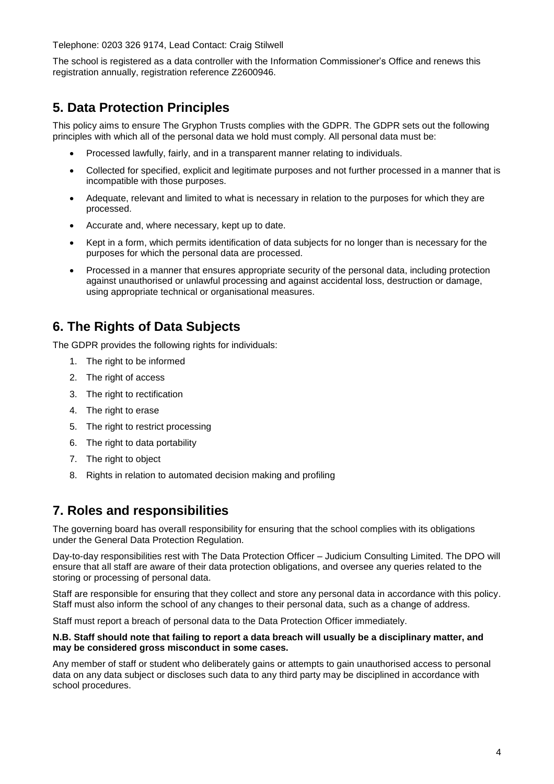Telephone: 0203 326 9174, Lead Contact: Craig Stilwell

The school is registered as a data controller with the Information Commissioner's Office and renews this registration annually, registration reference Z2600946.

#### **5. Data Protection Principles**

This policy aims to ensure The Gryphon Trusts complies with the GDPR. The GDPR sets out the following principles with which all of the personal data we hold must comply. All personal data must be:

- Processed lawfully, fairly, and in a transparent manner relating to individuals.
- Collected for specified, explicit and legitimate purposes and not further processed in a manner that is incompatible with those purposes.
- Adequate, relevant and limited to what is necessary in relation to the purposes for which they are processed.
- Accurate and, where necessary, kept up to date.
- Kept in a form, which permits identification of data subjects for no longer than is necessary for the purposes for which the personal data are processed.
- Processed in a manner that ensures appropriate security of the personal data, including protection against unauthorised or unlawful processing and against accidental loss, destruction or damage, using appropriate technical or organisational measures.

#### **6. The Rights of Data Subjects**

The GDPR provides the following rights for individuals:

- 1. The right to be informed
- 2. The right of access
- 3. The right to rectification
- 4. The right to erase
- 5. The right to restrict processing
- 6. The right to data portability
- 7. The right to object
- 8. Rights in relation to automated decision making and profiling

#### **7. Roles and responsibilities**

The governing board has overall responsibility for ensuring that the school complies with its obligations under the General Data Protection Regulation.

Day-to-day responsibilities rest with The Data Protection Officer – Judicium Consulting Limited. The DPO will ensure that all staff are aware of their data protection obligations, and oversee any queries related to the storing or processing of personal data.

Staff are responsible for ensuring that they collect and store any personal data in accordance with this policy. Staff must also inform the school of any changes to their personal data, such as a change of address.

Staff must report a breach of personal data to the Data Protection Officer immediately.

#### **N.B. Staff should note that failing to report a data breach will usually be a disciplinary matter, and may be considered gross misconduct in some cases.**

Any member of staff or student who deliberately gains or attempts to gain unauthorised access to personal data on any data subject or discloses such data to any third party may be disciplined in accordance with school procedures.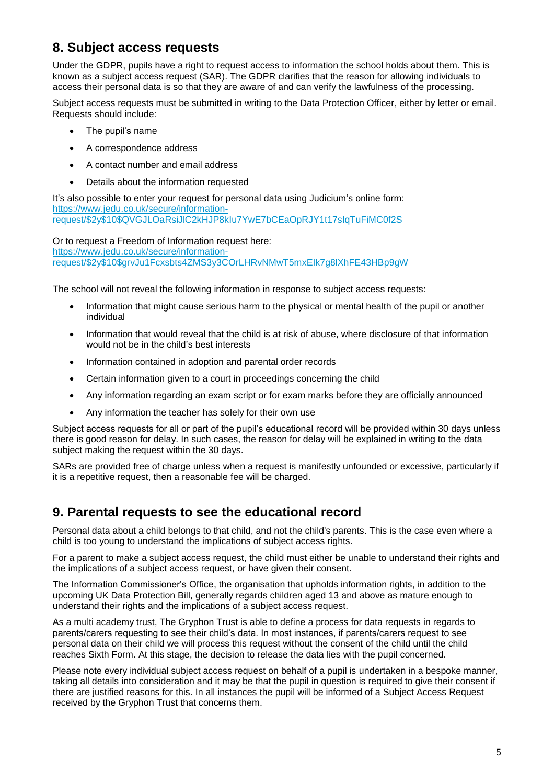#### **8. Subject access requests**

Under the GDPR, pupils have a right to request access to information the school holds about them. This is known as a subject access request (SAR). The GDPR clarifies that the reason for allowing individuals to access their personal data is so that they are aware of and can verify the lawfulness of the processing.

Subject access requests must be submitted in writing to the Data Protection Officer, either by letter or email. Requests should include:

- The pupil's name
- A correspondence address
- A contact number and email address
- Details about the information requested

It's also possible to enter your request for personal data using Judicium's online form: [https://www.jedu.co.uk/secure/information](https://www.jedu.co.uk/secure/information-request/$2y$10$QVGJLOaRsiJlC2kHJP8kIu7YwE7bCEaOpRJY1t17sIqTuFiMC0f2S)[request/\\$2y\\$10\\$QVGJLOaRsiJlC2kHJP8kIu7YwE7bCEaOpRJY1t17sIqTuFiMC0f2S](https://www.jedu.co.uk/secure/information-request/$2y$10$QVGJLOaRsiJlC2kHJP8kIu7YwE7bCEaOpRJY1t17sIqTuFiMC0f2S)

Or to request a Freedom of Information request here: [https://www.jedu.co.uk/secure/information](https://www.jedu.co.uk/secure/information-request/$2y$10$grvJu1Fcxsbts4ZMS3y3COrLHRvNMwT5mxEIk7g8lXhFE43HBp9gW)[request/\\$2y\\$10\\$grvJu1Fcxsbts4ZMS3y3COrLHRvNMwT5mxEIk7g8lXhFE43HBp9gW](https://www.jedu.co.uk/secure/information-request/$2y$10$grvJu1Fcxsbts4ZMS3y3COrLHRvNMwT5mxEIk7g8lXhFE43HBp9gW)

The school will not reveal the following information in response to subject access requests:

- Information that might cause serious harm to the physical or mental health of the pupil or another individual
- Information that would reveal that the child is at risk of abuse, where disclosure of that information would not be in the child's best interests
- Information contained in adoption and parental order records
- Certain information given to a court in proceedings concerning the child
- Any information regarding an exam script or for exam marks before they are officially announced
- Any information the teacher has solely for their own use

Subject access requests for all or part of the pupil's educational record will be provided within 30 days unless there is good reason for delay. In such cases, the reason for delay will be explained in writing to the data subject making the request within the 30 days.

SARs are provided free of charge unless when a request is manifestly unfounded or excessive, particularly if it is a repetitive request, then a reasonable fee will be charged.

#### **9. Parental requests to see the educational record**

Personal data about a child belongs to that child, and not the child's parents. This is the case even where a child is too young to understand the implications of subject access rights.

For a parent to make a subject access request, the child must either be unable to understand their rights and the implications of a subject access request, or have given their consent.

The Information Commissioner's Office, the organisation that upholds information rights, in addition to the upcoming UK Data Protection Bill, generally regards children aged 13 and above as mature enough to understand their rights and the implications of a subject access request.

As a multi academy trust, The Gryphon Trust is able to define a process for data requests in regards to parents/carers requesting to see their child's data. In most instances, if parents/carers request to see personal data on their child we will process this request without the consent of the child until the child reaches Sixth Form. At this stage, the decision to release the data lies with the pupil concerned.

Please note every individual subject access request on behalf of a pupil is undertaken in a bespoke manner, taking all details into consideration and it may be that the pupil in question is required to give their consent if there are justified reasons for this. In all instances the pupil will be informed of a Subject Access Request received by the Gryphon Trust that concerns them.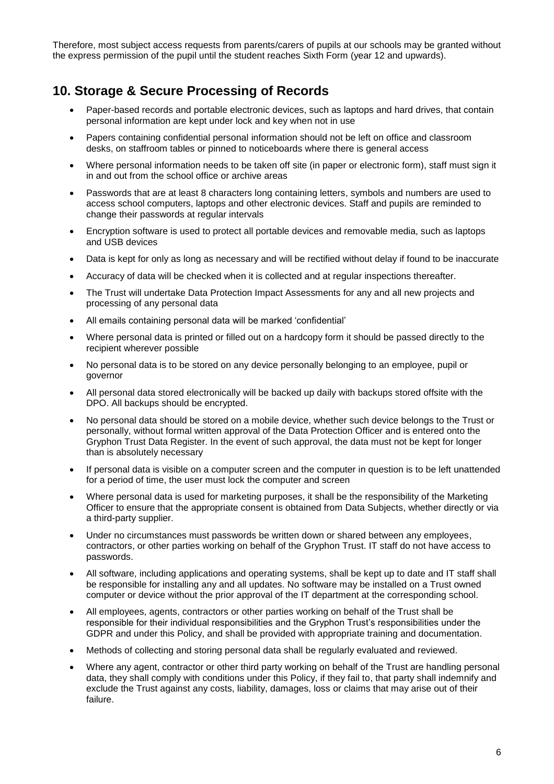Therefore, most subject access requests from parents/carers of pupils at our schools may be granted without the express permission of the pupil until the student reaches Sixth Form (year 12 and upwards).

#### **10. Storage & Secure Processing of Records**

- Paper-based records and portable electronic devices, such as laptops and hard drives, that contain personal information are kept under lock and key when not in use
- Papers containing confidential personal information should not be left on office and classroom desks, on staffroom tables or pinned to noticeboards where there is general access
- Where personal information needs to be taken off site (in paper or electronic form), staff must sign it in and out from the school office or archive areas
- Passwords that are at least 8 characters long containing letters, symbols and numbers are used to access school computers, laptops and other electronic devices. Staff and pupils are reminded to change their passwords at regular intervals
- Encryption software is used to protect all portable devices and removable media, such as laptops and USB devices
- Data is kept for only as long as necessary and will be rectified without delay if found to be inaccurate
- Accuracy of data will be checked when it is collected and at regular inspections thereafter.
- The Trust will undertake Data Protection Impact Assessments for any and all new projects and processing of any personal data
- All emails containing personal data will be marked 'confidential'
- Where personal data is printed or filled out on a hardcopy form it should be passed directly to the recipient wherever possible
- No personal data is to be stored on any device personally belonging to an employee, pupil or governor
- All personal data stored electronically will be backed up daily with backups stored offsite with the DPO. All backups should be encrypted.
- No personal data should be stored on a mobile device, whether such device belongs to the Trust or personally, without formal written approval of the Data Protection Officer and is entered onto the Gryphon Trust Data Register. In the event of such approval, the data must not be kept for longer than is absolutely necessary
- If personal data is visible on a computer screen and the computer in question is to be left unattended for a period of time, the user must lock the computer and screen
- Where personal data is used for marketing purposes, it shall be the responsibility of the Marketing Officer to ensure that the appropriate consent is obtained from Data Subjects, whether directly or via a third-party supplier.
- Under no circumstances must passwords be written down or shared between any employees, contractors, or other parties working on behalf of the Gryphon Trust. IT staff do not have access to passwords.
- All software, including applications and operating systems, shall be kept up to date and IT staff shall be responsible for installing any and all updates. No software may be installed on a Trust owned computer or device without the prior approval of the IT department at the corresponding school.
- All employees, agents, contractors or other parties working on behalf of the Trust shall be responsible for their individual responsibilities and the Gryphon Trust's responsibilities under the GDPR and under this Policy, and shall be provided with appropriate training and documentation.
- Methods of collecting and storing personal data shall be regularly evaluated and reviewed.
- Where any agent, contractor or other third party working on behalf of the Trust are handling personal data, they shall comply with conditions under this Policy, if they fail to, that party shall indemnify and exclude the Trust against any costs, liability, damages, loss or claims that may arise out of their failure.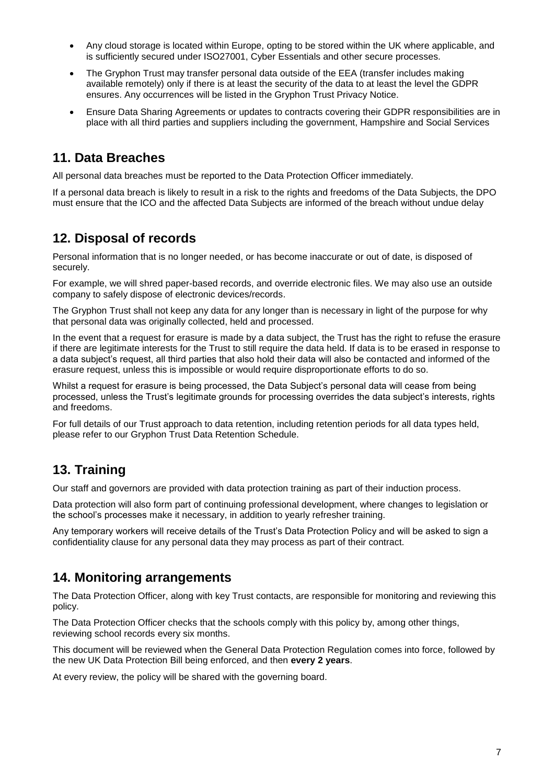- Any cloud storage is located within Europe, opting to be stored within the UK where applicable, and is sufficiently secured under ISO27001, Cyber Essentials and other secure processes.
- The Gryphon Trust may transfer personal data outside of the EEA (transfer includes making available remotely) only if there is at least the security of the data to at least the level the GDPR ensures. Any occurrences will be listed in the Gryphon Trust Privacy Notice.
- Ensure Data Sharing Agreements or updates to contracts covering their GDPR responsibilities are in place with all third parties and suppliers including the government, Hampshire and Social Services

#### **11. Data Breaches**

All personal data breaches must be reported to the Data Protection Officer immediately.

If a personal data breach is likely to result in a risk to the rights and freedoms of the Data Subjects, the DPO must ensure that the ICO and the affected Data Subjects are informed of the breach without undue delay

#### **12. Disposal of records**

Personal information that is no longer needed, or has become inaccurate or out of date, is disposed of securely.

For example, we will shred paper-based records, and override electronic files. We may also use an outside company to safely dispose of electronic devices/records.

The Gryphon Trust shall not keep any data for any longer than is necessary in light of the purpose for why that personal data was originally collected, held and processed.

In the event that a request for erasure is made by a data subject, the Trust has the right to refuse the erasure if there are legitimate interests for the Trust to still require the data held. If data is to be erased in response to a data subject's request, all third parties that also hold their data will also be contacted and informed of the erasure request, unless this is impossible or would require disproportionate efforts to do so.

Whilst a request for erasure is being processed, the Data Subject's personal data will cease from being processed, unless the Trust's legitimate grounds for processing overrides the data subject's interests, rights and freedoms.

For full details of our Trust approach to data retention, including retention periods for all data types held, please refer to our Gryphon Trust Data Retention Schedule.

#### **13. Training**

Our staff and governors are provided with data protection training as part of their induction process.

Data protection will also form part of continuing professional development, where changes to legislation or the school's processes make it necessary, in addition to yearly refresher training.

Any temporary workers will receive details of the Trust's Data Protection Policy and will be asked to sign a confidentiality clause for any personal data they may process as part of their contract.

#### **14. Monitoring arrangements**

The Data Protection Officer, along with key Trust contacts, are responsible for monitoring and reviewing this policy.

The Data Protection Officer checks that the schools comply with this policy by, among other things, reviewing school records every six months.

This document will be reviewed when the General Data Protection Regulation comes into force, followed by the new UK Data Protection Bill being enforced, and then **every 2 years**.

At every review, the policy will be shared with the governing board.